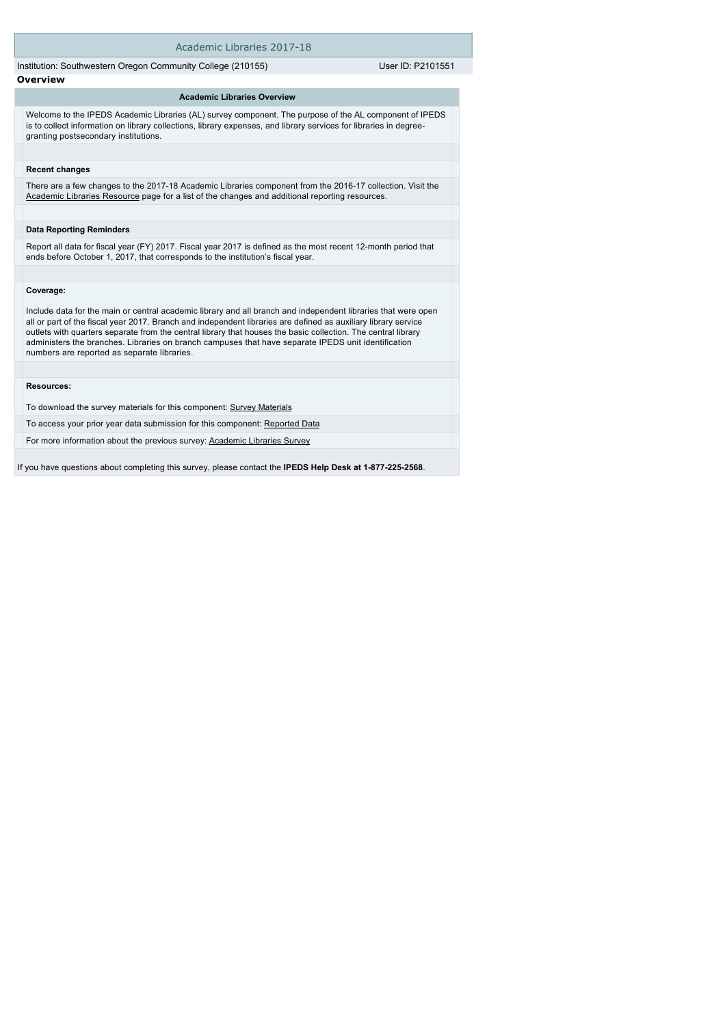| Academic Libraries 2017-18                                                                                                                                                                                                                                                                                                                                                                                                                                                                             |                   |
|--------------------------------------------------------------------------------------------------------------------------------------------------------------------------------------------------------------------------------------------------------------------------------------------------------------------------------------------------------------------------------------------------------------------------------------------------------------------------------------------------------|-------------------|
| Institution: Southwestern Oregon Community College (210155)                                                                                                                                                                                                                                                                                                                                                                                                                                            | User ID: P2101551 |
| <b>Overview</b>                                                                                                                                                                                                                                                                                                                                                                                                                                                                                        |                   |
| <b>Academic Libraries Overview</b>                                                                                                                                                                                                                                                                                                                                                                                                                                                                     |                   |
| Welcome to the IPEDS Academic Libraries (AL) survey component. The purpose of the AL component of IPEDS<br>is to collect information on library collections, library expenses, and library services for libraries in degree-<br>granting postsecondary institutions.                                                                                                                                                                                                                                   |                   |
| <b>Recent changes</b>                                                                                                                                                                                                                                                                                                                                                                                                                                                                                  |                   |
| There are a few changes to the 2017-18 Academic Libraries component from the 2016-17 collection. Visit the<br>Academic Libraries Resource page for a list of the changes and additional reporting resources.                                                                                                                                                                                                                                                                                           |                   |
| <b>Data Reporting Reminders</b>                                                                                                                                                                                                                                                                                                                                                                                                                                                                        |                   |
| Report all data for fiscal year (FY) 2017. Fiscal year 2017 is defined as the most recent 12-month period that<br>ends before October 1, 2017, that corresponds to the institution's fiscal year.                                                                                                                                                                                                                                                                                                      |                   |
| Coverage:                                                                                                                                                                                                                                                                                                                                                                                                                                                                                              |                   |
| Include data for the main or central academic library and all branch and independent libraries that were open<br>all or part of the fiscal year 2017. Branch and independent libraries are defined as auxiliary library service<br>outlets with quarters separate from the central library that houses the basic collection. The central library<br>administers the branches. Libraries on branch campuses that have separate IPEDS unit identification<br>numbers are reported as separate libraries. |                   |
| Resources:                                                                                                                                                                                                                                                                                                                                                                                                                                                                                             |                   |
|                                                                                                                                                                                                                                                                                                                                                                                                                                                                                                        |                   |
| To download the survey materials for this component: Survey Materials                                                                                                                                                                                                                                                                                                                                                                                                                                  |                   |
| To access your prior year data submission for this component: Reported Data                                                                                                                                                                                                                                                                                                                                                                                                                            |                   |
| For more information about the previous survey: Academic Libraries Survey                                                                                                                                                                                                                                                                                                                                                                                                                              |                   |

If you have questions about completing this survey, please contact the **IPEDS Help Desk at 1-877-225-2568**.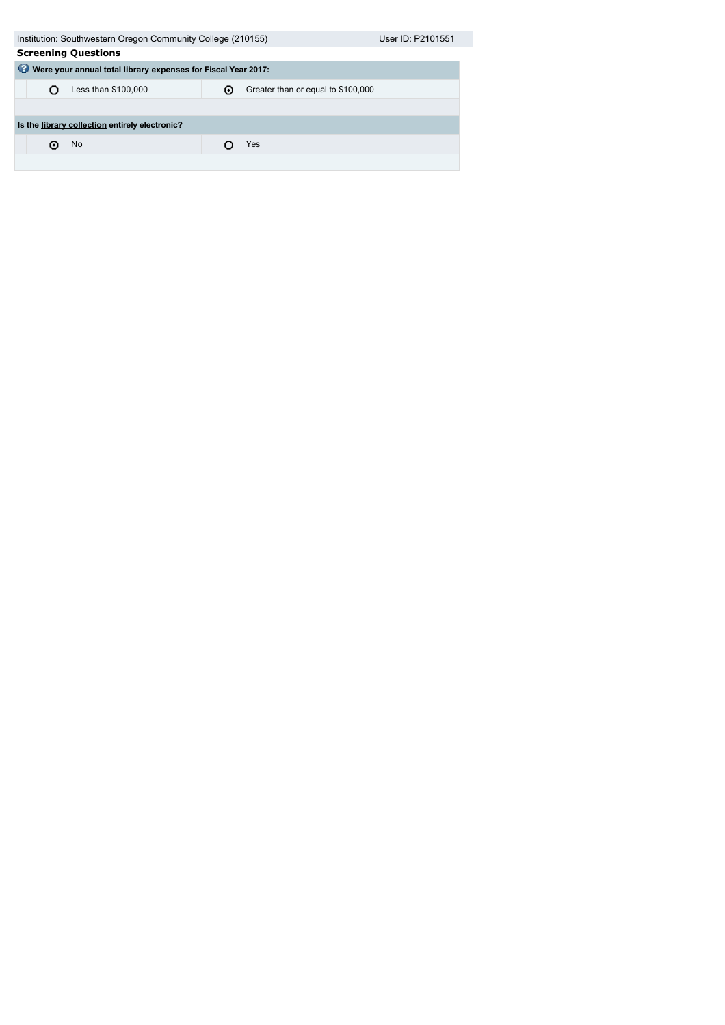|                                                                    | Institution: Southwestern Oregon Community College (210155)    |  |     |  |  |  |  |  |
|--------------------------------------------------------------------|----------------------------------------------------------------|--|-----|--|--|--|--|--|
| <b>Screening Questions</b>                                         |                                                                |  |     |  |  |  |  |  |
| ⊌<br>Were your annual total library expenses for Fiscal Year 2017: |                                                                |  |     |  |  |  |  |  |
|                                                                    | Less than \$100,000<br>Greater than or equal to \$100,000<br>⊙ |  |     |  |  |  |  |  |
|                                                                    |                                                                |  |     |  |  |  |  |  |
| Is the library collection entirely electronic?                     |                                                                |  |     |  |  |  |  |  |
| ω                                                                  | No.                                                            |  | Yes |  |  |  |  |  |
|                                                                    |                                                                |  |     |  |  |  |  |  |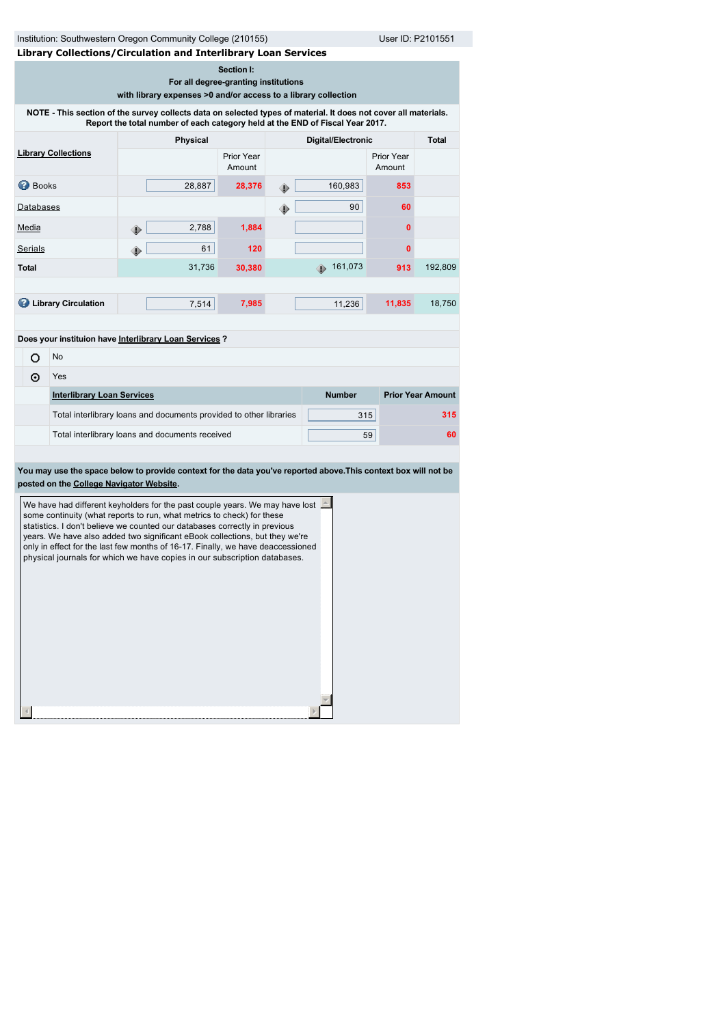| Institution: Southwestern Oregon Community College (210155)<br>User ID: P2101551<br>Library Collections/Circulation and Interlibrary Loan Services                                               |                                                                                   |                                                                                                                                                                                                                                                                                                                                                                                                                                                                                                                                                                                                               |        |  |                    |        |                          |
|--------------------------------------------------------------------------------------------------------------------------------------------------------------------------------------------------|-----------------------------------------------------------------------------------|---------------------------------------------------------------------------------------------------------------------------------------------------------------------------------------------------------------------------------------------------------------------------------------------------------------------------------------------------------------------------------------------------------------------------------------------------------------------------------------------------------------------------------------------------------------------------------------------------------------|--------|--|--------------------|--------|--------------------------|
| Section I:<br>For all degree-granting institutions<br>with library expenses >0 and/or access to a library collection                                                                             |                                                                                   |                                                                                                                                                                                                                                                                                                                                                                                                                                                                                                                                                                                                               |        |  |                    |        |                          |
| NOTE - This section of the survey collects data on selected types of material. It does not cover all materials.<br>Report the total number of each category held at the END of Fiscal Year 2017. |                                                                                   |                                                                                                                                                                                                                                                                                                                                                                                                                                                                                                                                                                                                               |        |  |                    |        |                          |
|                                                                                                                                                                                                  |                                                                                   | Physical                                                                                                                                                                                                                                                                                                                                                                                                                                                                                                                                                                                                      |        |  | Digital/Electronic |        | Total                    |
|                                                                                                                                                                                                  | <b>Library Collections</b><br>Prior Year<br><b>Prior Year</b><br>Amount<br>Amount |                                                                                                                                                                                                                                                                                                                                                                                                                                                                                                                                                                                                               |        |  |                    |        |                          |
| <b>Books</b>                                                                                                                                                                                     |                                                                                   | 28,887                                                                                                                                                                                                                                                                                                                                                                                                                                                                                                                                                                                                        | 28,376 |  | 160,983            | 853    |                          |
| Databases                                                                                                                                                                                        |                                                                                   |                                                                                                                                                                                                                                                                                                                                                                                                                                                                                                                                                                                                               |        |  | 90                 | 60     |                          |
| <b>Media</b>                                                                                                                                                                                     |                                                                                   | 2,788<br>۰                                                                                                                                                                                                                                                                                                                                                                                                                                                                                                                                                                                                    | 1,884  |  |                    | 0      |                          |
| <b>Serials</b>                                                                                                                                                                                   |                                                                                   | 61                                                                                                                                                                                                                                                                                                                                                                                                                                                                                                                                                                                                            | 120    |  |                    | 0      |                          |
| <b>Total</b>                                                                                                                                                                                     |                                                                                   | 31,736                                                                                                                                                                                                                                                                                                                                                                                                                                                                                                                                                                                                        | 30,380 |  | 161,073            | 913    | 192,809                  |
|                                                                                                                                                                                                  |                                                                                   |                                                                                                                                                                                                                                                                                                                                                                                                                                                                                                                                                                                                               |        |  |                    |        |                          |
|                                                                                                                                                                                                  | <b>B</b> Library Circulation                                                      | 7,514                                                                                                                                                                                                                                                                                                                                                                                                                                                                                                                                                                                                         | 7,985  |  | 11,236             | 11,835 | 18,750                   |
|                                                                                                                                                                                                  |                                                                                   | Does your instituion have Interlibrary Loan Services ?                                                                                                                                                                                                                                                                                                                                                                                                                                                                                                                                                        |        |  |                    |        |                          |
| No<br>O                                                                                                                                                                                          |                                                                                   |                                                                                                                                                                                                                                                                                                                                                                                                                                                                                                                                                                                                               |        |  |                    |        |                          |
|                                                                                                                                                                                                  |                                                                                   |                                                                                                                                                                                                                                                                                                                                                                                                                                                                                                                                                                                                               |        |  |                    |        |                          |
| ⊙                                                                                                                                                                                                | Yes                                                                               |                                                                                                                                                                                                                                                                                                                                                                                                                                                                                                                                                                                                               |        |  |                    |        |                          |
|                                                                                                                                                                                                  | <b>Interlibrary Loan Services</b>                                                 |                                                                                                                                                                                                                                                                                                                                                                                                                                                                                                                                                                                                               |        |  | <b>Number</b>      |        | <b>Prior Year Amount</b> |
|                                                                                                                                                                                                  |                                                                                   | Total interlibrary loans and documents provided to other libraries                                                                                                                                                                                                                                                                                                                                                                                                                                                                                                                                            |        |  | 315                |        | 315                      |
|                                                                                                                                                                                                  |                                                                                   | Total interlibrary loans and documents received                                                                                                                                                                                                                                                                                                                                                                                                                                                                                                                                                               |        |  |                    | 59     | 60                       |
|                                                                                                                                                                                                  | posted on the College Navigator Website.                                          | You may use the space below to provide context for the data you've reported above. This context box will not be<br>We have had different keyholders for the past couple years. We may have lost $\Box$<br>some continuity (what reports to run, what metrics to check) for these<br>statistics. I don't believe we counted our databases correctly in previous<br>years. We have also added two significant eBook collections, but they we're<br>only in effect for the last few months of 16-17. Finally, we have deaccessioned<br>physical journals for which we have copies in our subscription databases. |        |  |                    |        |                          |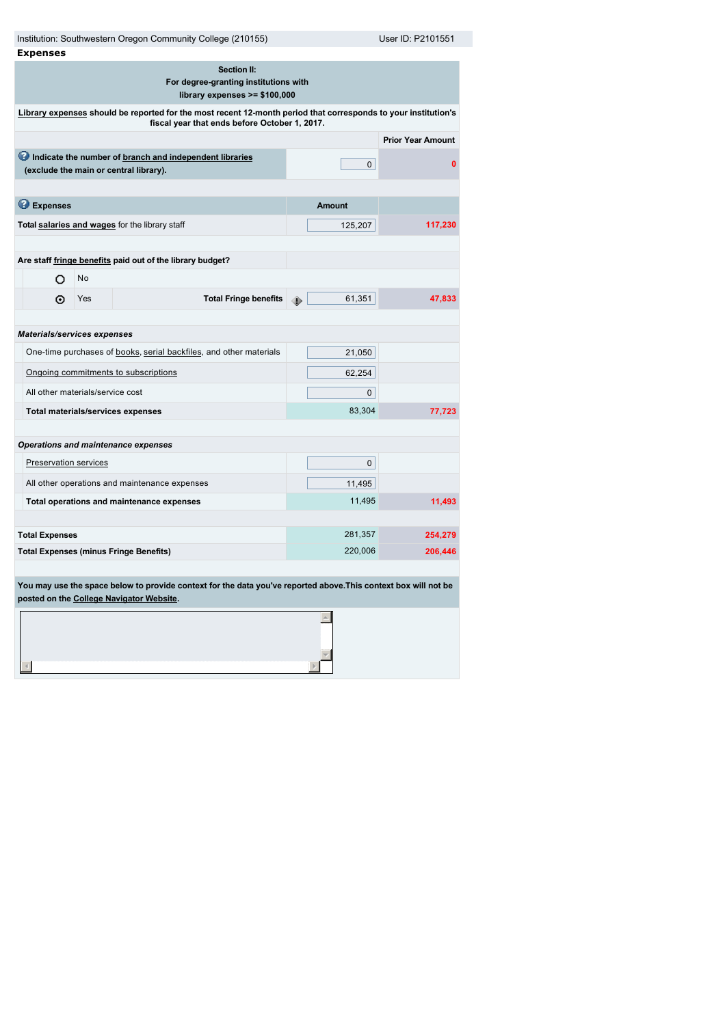| Institution: Southwestern Oregon Community College (210155)<br>User ID: P2101551              |                                                                                                                                                                 |                                                                                                                                                             |               |                          |  |  |
|-----------------------------------------------------------------------------------------------|-----------------------------------------------------------------------------------------------------------------------------------------------------------------|-------------------------------------------------------------------------------------------------------------------------------------------------------------|---------------|--------------------------|--|--|
| <b>Expenses</b>                                                                               |                                                                                                                                                                 |                                                                                                                                                             |               |                          |  |  |
| <b>Section II:</b><br>For degree-granting institutions with<br>library expenses $>= $100,000$ |                                                                                                                                                                 |                                                                                                                                                             |               |                          |  |  |
|                                                                                               | Library expenses should be reported for the most recent 12-month period that corresponds to your institution's<br>fiscal year that ends before October 1, 2017. |                                                                                                                                                             |               |                          |  |  |
|                                                                                               |                                                                                                                                                                 |                                                                                                                                                             |               | <b>Prior Year Amount</b> |  |  |
|                                                                                               |                                                                                                                                                                 | Indicate the number of branch and independent libraries<br>(exclude the main or central library).                                                           | 0             | $\mathbf{0}$             |  |  |
|                                                                                               |                                                                                                                                                                 |                                                                                                                                                             |               |                          |  |  |
| <b>B</b> Expenses                                                                             |                                                                                                                                                                 |                                                                                                                                                             | <b>Amount</b> |                          |  |  |
|                                                                                               |                                                                                                                                                                 | Total salaries and wages for the library staff                                                                                                              | 125,207       | 117,230                  |  |  |
|                                                                                               |                                                                                                                                                                 |                                                                                                                                                             |               |                          |  |  |
|                                                                                               |                                                                                                                                                                 | Are staff fringe benefits paid out of the library budget?                                                                                                   |               |                          |  |  |
| O                                                                                             | No                                                                                                                                                              |                                                                                                                                                             |               |                          |  |  |
| ⊙                                                                                             | Yes                                                                                                                                                             | <b>Total Fringe benefits</b>                                                                                                                                | 61,351<br>⊕   | 47,833                   |  |  |
|                                                                                               |                                                                                                                                                                 |                                                                                                                                                             |               |                          |  |  |
| Materials/services expenses                                                                   |                                                                                                                                                                 |                                                                                                                                                             |               |                          |  |  |
|                                                                                               |                                                                                                                                                                 | One-time purchases of books, serial backfiles, and other materials                                                                                          | 21,050        |                          |  |  |
|                                                                                               |                                                                                                                                                                 | Ongoing commitments to subscriptions                                                                                                                        | 62,254        |                          |  |  |
|                                                                                               | All other materials/service cost                                                                                                                                |                                                                                                                                                             | 0             |                          |  |  |
| Total materials/services expenses                                                             |                                                                                                                                                                 |                                                                                                                                                             | 83,304        | 77,723                   |  |  |
|                                                                                               |                                                                                                                                                                 |                                                                                                                                                             |               |                          |  |  |
|                                                                                               |                                                                                                                                                                 | <b>Operations and maintenance expenses</b>                                                                                                                  |               |                          |  |  |
| Preservation services                                                                         |                                                                                                                                                                 |                                                                                                                                                             | 0             |                          |  |  |
|                                                                                               |                                                                                                                                                                 | All other operations and maintenance expenses                                                                                                               | 11,495        |                          |  |  |
|                                                                                               |                                                                                                                                                                 | Total operations and maintenance expenses                                                                                                                   | 11,495        | 11,493                   |  |  |
|                                                                                               |                                                                                                                                                                 |                                                                                                                                                             |               |                          |  |  |
| <b>Total Expenses</b>                                                                         |                                                                                                                                                                 |                                                                                                                                                             | 281,357       | 254,279                  |  |  |
|                                                                                               |                                                                                                                                                                 | <b>Total Expenses (minus Fringe Benefits)</b>                                                                                                               | 220,006       | 206,446                  |  |  |
|                                                                                               |                                                                                                                                                                 |                                                                                                                                                             |               |                          |  |  |
|                                                                                               |                                                                                                                                                                 | You may use the space below to provide context for the data you've reported above. This context box will not be<br>posted on the College Navigator Website. |               |                          |  |  |

 $\blacktriangle$  $\begin{array}{c|c} \hline \hline \hline \hline \hline \hline \end{array}$ 

 $\lnot$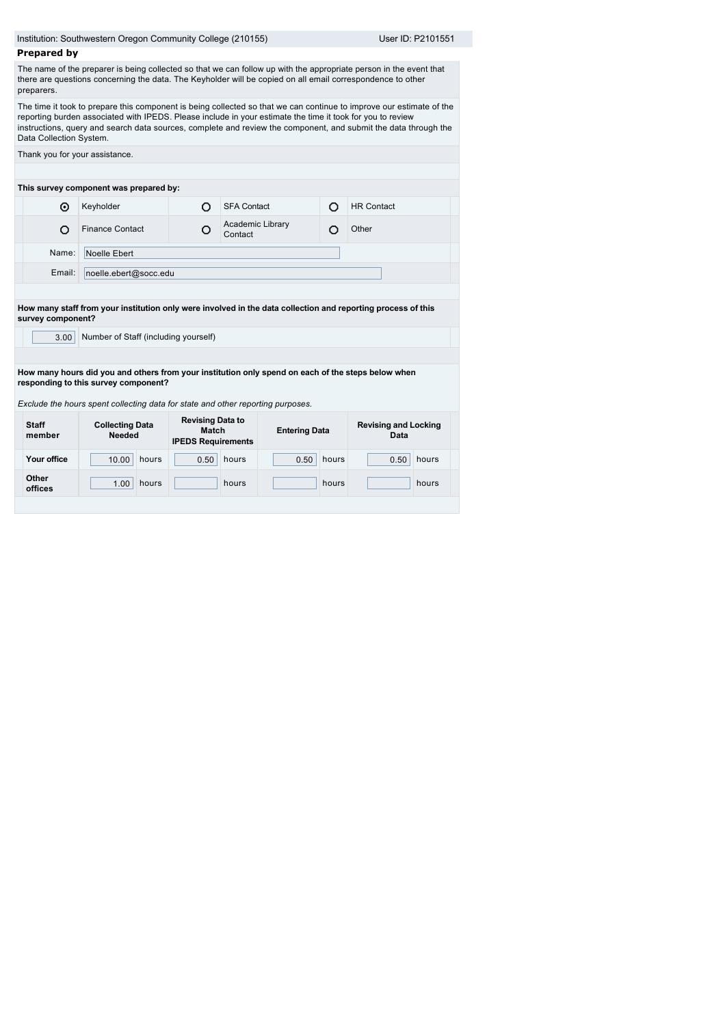|                         | Institution: Southwestern Oregon Community College (210155)                                                                                                                        |                                                                      |                             |                      |       |                                                                                                                                                                                                                                         |  |
|-------------------------|------------------------------------------------------------------------------------------------------------------------------------------------------------------------------------|----------------------------------------------------------------------|-----------------------------|----------------------|-------|-----------------------------------------------------------------------------------------------------------------------------------------------------------------------------------------------------------------------------------------|--|
|                         |                                                                                                                                                                                    |                                                                      |                             |                      |       | User ID: P2101551                                                                                                                                                                                                                       |  |
| <b>Prepared by</b>      |                                                                                                                                                                                    |                                                                      |                             |                      |       |                                                                                                                                                                                                                                         |  |
| preparers.              | there are questions concerning the data. The Keyholder will be copied on all email correspondence to other                                                                         |                                                                      |                             |                      |       | The name of the preparer is being collected so that we can follow up with the appropriate person in the event that                                                                                                                      |  |
| Data Collection System. | reporting burden associated with IPEDS. Please include in your estimate the time it took for you to review                                                                         |                                                                      |                             |                      |       | The time it took to prepare this component is being collected so that we can continue to improve our estimate of the<br>instructions, query and search data sources, complete and review the component, and submit the data through the |  |
|                         | Thank you for your assistance.                                                                                                                                                     |                                                                      |                             |                      |       |                                                                                                                                                                                                                                         |  |
|                         | This survey component was prepared by:                                                                                                                                             |                                                                      |                             |                      |       |                                                                                                                                                                                                                                         |  |
| ⊙                       | Keyholder                                                                                                                                                                          | O                                                                    | <b>SFA Contact</b>          |                      | O     | <b>HR Contact</b>                                                                                                                                                                                                                       |  |
| O                       | <b>Finance Contact</b>                                                                                                                                                             | O                                                                    | Academic Library<br>Contact | O                    |       | Other                                                                                                                                                                                                                                   |  |
| Name:                   | Noelle Ebert                                                                                                                                                                       |                                                                      |                             |                      |       |                                                                                                                                                                                                                                         |  |
| Email:                  | noelle.ebert@socc.edu                                                                                                                                                              |                                                                      |                             |                      |       |                                                                                                                                                                                                                                         |  |
| survey component?       |                                                                                                                                                                                    |                                                                      |                             |                      |       | How many staff from your institution only were involved in the data collection and reporting process of this                                                                                                                            |  |
| 3.00                    | Number of Staff (including yourself)<br>How many hours did you and others from your institution only spend on each of the steps below when<br>responding to this survey component? |                                                                      |                             |                      |       |                                                                                                                                                                                                                                         |  |
| <b>Staff</b><br>member  | Exclude the hours spent collecting data for state and other reporting purposes.<br><b>Collecting Data</b><br><b>Needed</b>                                                         | <b>Revising Data to</b><br><b>Match</b><br><b>IPEDS Requirements</b> |                             | <b>Entering Data</b> |       | <b>Revising and Locking</b><br>Data                                                                                                                                                                                                     |  |
| Your office             | 10.00<br>hours                                                                                                                                                                     | 0.50                                                                 | hours                       | 0.50                 | hours | hours<br>0.50                                                                                                                                                                                                                           |  |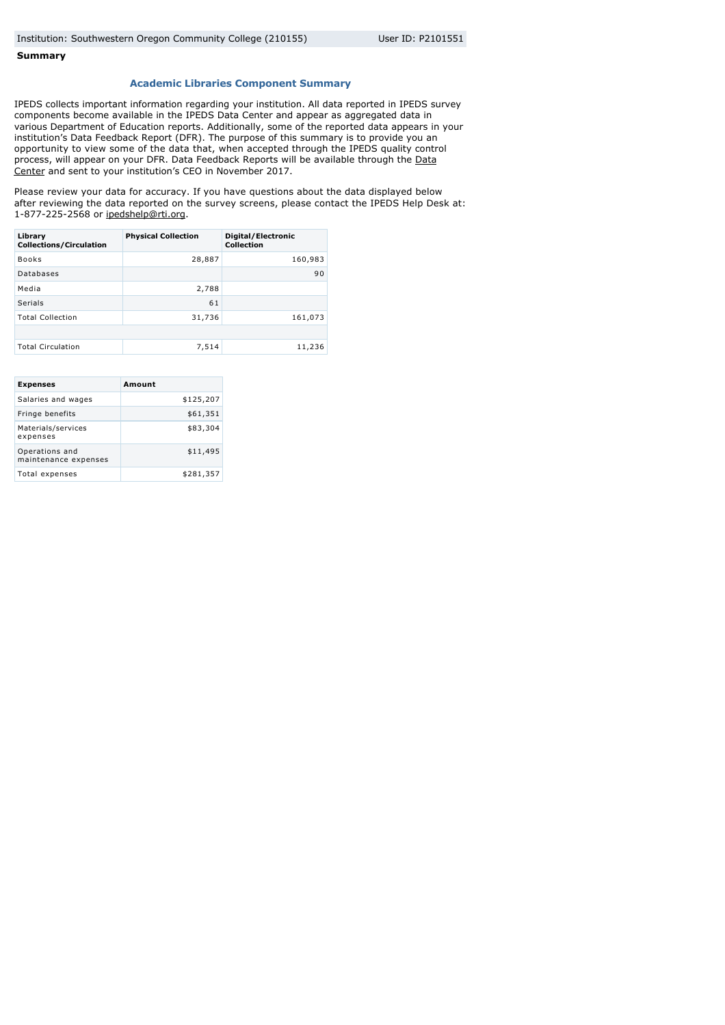## **Summary**

## **Academic Libraries Component Summary**

IPEDS collects important information regarding your institution. All data reported in IPEDS survey components become available in the IPEDS Data Center and appear as aggregated data in various Department of Education reports. Additionally, some of the reported data appears in your institution's Data Feedback Report (DFR). The purpose of this summary is to provide you an opportunity to view some of the data that, when accepted through the IPEDS quality control [process, will appear on your DFR. Data Feedback Reports will be available through the Data](http://nces.ed.gov/ipeds/datacenter/) Center and sent to your institution's CEO in November 2017.

Please review your data for accuracy. If you have questions about the data displayed below after reviewing the data reported on the survey screens, please contact the IPEDS Help Desk at: 1-877-225-2568 or [ipedshelp@rti.org](mailto:ipedshelp@rti.org).

| Library<br><b>Collections/Circulation</b> | <b>Physical Collection</b> | Digital/Electronic<br><b>Collection</b> |
|-------------------------------------------|----------------------------|-----------------------------------------|
| <b>Books</b>                              | 28,887                     | 160,983                                 |
| Databases                                 |                            | 90                                      |
| Media                                     | 2,788                      |                                         |
| Serials                                   | 61                         |                                         |
| <b>Total Collection</b>                   | 31,736                     | 161,073                                 |
|                                           |                            |                                         |
| <b>Total Circulation</b>                  | 7,514                      | 11,236                                  |

| <b>Expenses</b>                        | Amount    |
|----------------------------------------|-----------|
| Salaries and wages                     | \$125,207 |
| Fringe benefits                        | \$61,351  |
| Materials/services<br>expenses         | \$83,304  |
| Operations and<br>maintenance expenses | \$11,495  |
| Total expenses                         | \$281,357 |